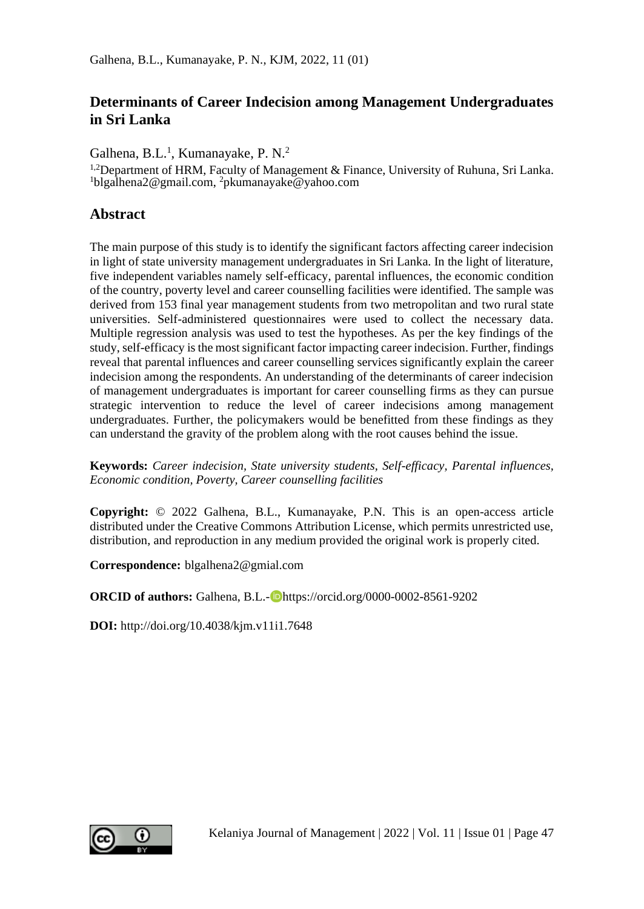## **Determinants of Career Indecision among Management Undergraduates in Sri Lanka**

Galhena, B.L.<sup>1</sup>, Kumanayake, P. N.<sup>2</sup>

<sup>1,2</sup>Department of HRM, Faculty of Management & Finance, University of Ruhuna, Sri Lanka. <sup>1</sup>blgalhena2@gmail.com, <sup>2</sup>pkumanayake@yahoo.com

## **Abstract**

The main purpose of this study is to identify the significant factors affecting career indecision in light of state university management undergraduates in Sri Lanka. In the light of literature, five independent variables namely self-efficacy, parental influences, the economic condition of the country, poverty level and career counselling facilities were identified. The sample was derived from 153 final year management students from two metropolitan and two rural state universities. Self-administered questionnaires were used to collect the necessary data. Multiple regression analysis was used to test the hypotheses. As per the key findings of the study, self-efficacy is the most significant factor impacting career indecision. Further, findings reveal that parental influences and career counselling services significantly explain the career indecision among the respondents. An understanding of the determinants of career indecision of management undergraduates is important for career counselling firms as they can pursue strategic intervention to reduce the level of career indecisions among management undergraduates. Further, the policymakers would be benefitted from these findings as they can understand the gravity of the problem along with the root causes behind the issue.

**Keywords:** *Career indecision, State university students, Self-efficacy, Parental influences, Economic condition, Poverty, Career counselling facilities* 

**Copyright:** © 2022 Galhena, B.L., Kumanayake, P.N. This is an open-access article distributed under the Creative Commons Attribution License, which permits unrestricted use, distribution, and reproduction in any medium provided the original work is properly cited.

**Correspondence:** blgalhena2@gmial.com

**ORCID of authors:** Galhena, B.L.-**D**https://orcid.org/0000-0002-8561-9202

**DOI:** http://doi.org/10.4038/kjm.v11i1.7648

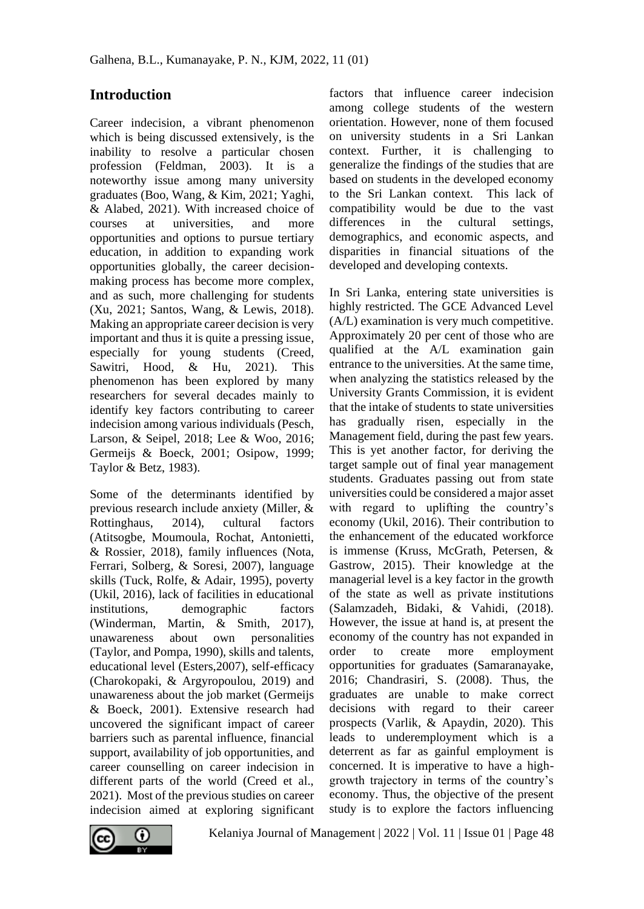## **Introduction**

Career indecision, a vibrant phenomenon which is being discussed extensively, is the inability to resolve a particular chosen profession (Feldman, 2003). It is a noteworthy issue among many university graduates (Boo, Wang, & Kim, 2021; Yaghi, & Alabed, 2021). With increased choice of courses at universities, and more opportunities and options to pursue tertiary education, in addition to expanding work opportunities globally, the career decisionmaking process has become more complex, and as such, more challenging for students (Xu, 2021; Santos, Wang, & Lewis, 2018). Making an appropriate career decision is very important and thus it is quite a pressing issue, especially for young students (Creed, Sawitri, Hood, & Hu, 2021). This phenomenon has been explored by many researchers for several decades mainly to identify key factors contributing to career indecision among various individuals (Pesch, Larson, & Seipel, 2018; Lee & Woo, 2016; Germeijs & Boeck, 2001; Osipow, 1999; Taylor & Betz, 1983).

Some of the determinants identified by previous research include anxiety (Miller, & Rottinghaus, 2014), cultural factors (Atitsogbe, Moumoula, Rochat, Antonietti, & Rossier, 2018), family influences (Nota, Ferrari, Solberg, & Soresi, 2007), language skills (Tuck, Rolfe, & Adair, 1995), poverty (Ukil, 2016), lack of facilities in educational institutions, demographic factors (Winderman, Martin, & Smith, 2017), unawareness about own personalities (Taylor, and Pompa, 1990), skills and talents, educational level (Esters,2007), self-efficacy (Charokopaki, & Argyropoulou, 2019) and unawareness about the job market (Germeijs & Boeck, 2001). Extensive research had uncovered the significant impact of career barriers such as parental influence, financial support, availability of job opportunities, and career counselling on career indecision in different parts of the world (Creed et al., 2021). Most of the previous studies on career indecision aimed at exploring significant

factors that influence career indecision among college students of the western orientation. However, none of them focused on university students in a Sri Lankan context. Further, it is challenging to generalize the findings of the studies that are based on students in the developed economy to the Sri Lankan context. This lack of compatibility would be due to the vast differences in the cultural settings, demographics, and economic aspects, and disparities in financial situations of the developed and developing contexts.

In Sri Lanka, entering state universities is highly restricted. The GCE Advanced Level (A/L) examination is very much competitive. Approximately 20 per cent of those who are qualified at the A/L examination gain entrance to the universities. At the same time, when analyzing the statistics released by the University Grants Commission, it is evident that the intake of students to state universities has gradually risen, especially in the Management field, during the past few years. This is yet another factor, for deriving the target sample out of final year management students. Graduates passing out from state universities could be considered a major asset with regard to uplifting the country's economy (Ukil, 2016). Their contribution to the enhancement of the educated workforce is immense (Kruss, McGrath, Petersen, & Gastrow, 2015). Their knowledge at the managerial level is a key factor in the growth of the state as well as private institutions (Salamzadeh, Bidaki, & Vahidi, (2018). However, the issue at hand is, at present the economy of the country has not expanded in order to create more employment opportunities for graduates (Samaranayake, 2016; Chandrasiri, S. (2008). Thus, the graduates are unable to make correct decisions with regard to their career prospects (Varlik, & Apaydin, 2020). This leads to underemployment which is a deterrent as far as gainful employment is concerned. It is imperative to have a highgrowth trajectory in terms of the country's economy. Thus, the objective of the present study is to explore the factors influencing



Kelaniya Journal of Management | 2022 | Vol. 11 | Issue 01 | Page 48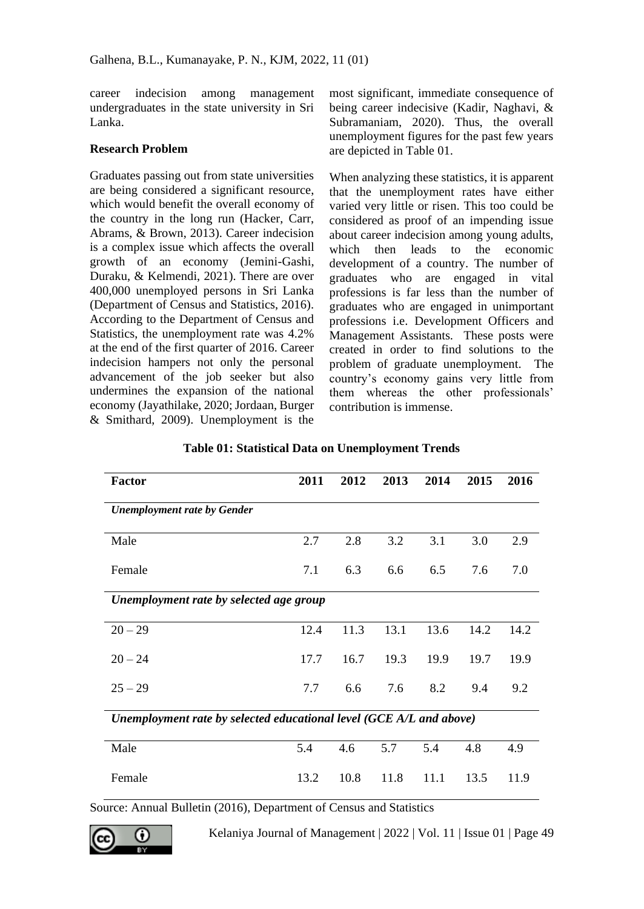career indecision among management undergraduates in the state university in Sri Lanka.

#### **Research Problem**

Graduates passing out from state universities are being considered a significant resource, which would benefit the overall economy of the country in the long run (Hacker, Carr, Abrams, & Brown, 2013). Career indecision is a complex issue which affects the overall growth of an economy (Jemini-Gashi, Duraku, & Kelmendi, 2021). There are over 400,000 unemployed persons in Sri Lanka (Department of Census and Statistics, 2016). According to the Department of Census and Statistics, the unemployment rate was 4.2% at the end of the first quarter of 2016. Career indecision hampers not only the personal advancement of the job seeker but also undermines the expansion of the national economy (Jayathilake, 2020; Jordaan, Burger & Smithard, 2009). Unemployment is the

most significant, immediate consequence of being career indecisive (Kadir, Naghavi, & Subramaniam, 2020). Thus, the overall unemployment figures for the past few years are depicted in Table 01.

When analyzing these statistics, it is apparent that the unemployment rates have either varied very little or risen. This too could be considered as proof of an impending issue about career indecision among young adults, which then leads to the economic development of a country. The number of graduates who are engaged in vital professions is far less than the number of graduates who are engaged in unimportant professions i.e. Development Officers and Management Assistants. These posts were created in order to find solutions to the problem of graduate unemployment. The country's economy gains very little from them whereas the other professionals' contribution is immense.

| <b>Factor</b>                                                       | 2011 | 2012 | 2013 | 2014 | 2015 | 2016 |  |
|---------------------------------------------------------------------|------|------|------|------|------|------|--|
| <b>Unemployment rate by Gender</b>                                  |      |      |      |      |      |      |  |
| Male                                                                | 2.7  | 2.8  | 3.2  | 3.1  | 3.0  | 2.9  |  |
| Female                                                              | 7.1  | 6.3  | 6.6  | 6.5  | 7.6  | 7.0  |  |
| Unemployment rate by selected age group                             |      |      |      |      |      |      |  |
| $20 - 29$                                                           | 12.4 | 11.3 | 13.1 | 13.6 | 14.2 | 14.2 |  |
| $20 - 24$                                                           | 17.7 | 16.7 | 19.3 | 19.9 | 19.7 | 19.9 |  |
| $25 - 29$                                                           | 7.7  | 6.6  | 7.6  | 8.2  | 9.4  | 9.2  |  |
| Unemployment rate by selected educational level (GCE A/L and above) |      |      |      |      |      |      |  |
| Male                                                                | 5.4  | 4.6  | 5.7  | 5.4  | 4.8  | 4.9  |  |
| Female                                                              | 13.2 | 10.8 | 11.8 | 11.1 | 13.5 | 11.9 |  |

### **Table 01: Statistical Data on Unemployment Trends**

Source: Annual Bulletin (2016), Department of Census and Statistics

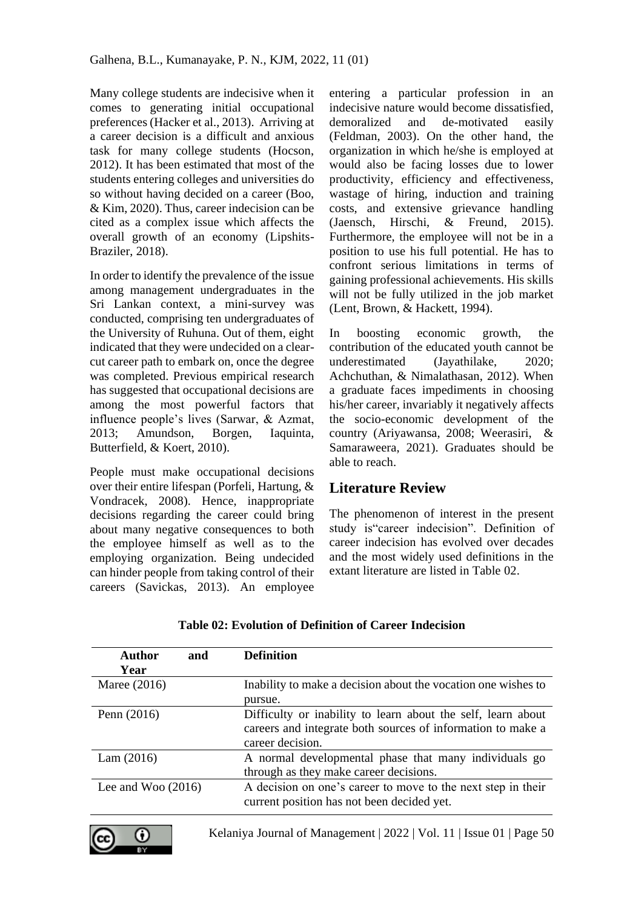Many college students are indecisive when it comes to generating initial occupational preferences (Hacker et al., 2013). Arriving at a career decision is a difficult and anxious task for many college students (Hocson, 2012). It has been estimated that most of the students entering colleges and universities do so without having decided on a career (Boo, & Kim, 2020). Thus, career indecision can be cited as a complex issue which affects the overall growth of an economy (Lipshits-Braziler, 2018).

In order to identify the prevalence of the issue among management undergraduates in the Sri Lankan context, a mini-survey was conducted, comprising ten undergraduates of the University of Ruhuna. Out of them, eight indicated that they were undecided on a clearcut career path to embark on, once the degree was completed. Previous empirical research has suggested that occupational decisions are among the most powerful factors that influence people's lives (Sarwar, & Azmat, 2013; Amundson, Borgen, Iaquinta, Butterfield, & Koert, 2010).

People must make occupational decisions over their entire lifespan (Porfeli, Hartung, & Vondracek, 2008). Hence, inappropriate decisions regarding the career could bring about many negative consequences to both the employee himself as well as to the employing organization. Being undecided can hinder people from taking control of their careers (Savickas, 2013). An employee

entering a particular profession in an indecisive nature would become dissatisfied, demoralized and de-motivated easily (Feldman, 2003). On the other hand, the organization in which he/she is employed at would also be facing losses due to lower productivity, efficiency and effectiveness, wastage of hiring, induction and training costs, and extensive grievance handling (Jaensch, Hirschi, & Freund, 2015). Furthermore, the employee will not be in a position to use his full potential. He has to confront serious limitations in terms of gaining professional achievements. His skills will not be fully utilized in the job market (Lent, Brown, & Hackett, 1994).

In boosting economic growth, the contribution of the educated youth cannot be underestimated (Jayathilake, 2020; Achchuthan, & Nimalathasan, 2012). When a graduate faces impediments in choosing his/her career, invariably it negatively affects the socio-economic development of the country (Ariyawansa, 2008; Weerasiri, & Samaraweera, 2021). Graduates should be able to reach.

# **Literature Review**

The phenomenon of interest in the present study is"career indecision". Definition of career indecision has evolved over decades and the most widely used definitions in the extant literature are listed in Table 02.

| <b>Author</b>        | and | <b>Definition</b>                                                                                                                               |
|----------------------|-----|-------------------------------------------------------------------------------------------------------------------------------------------------|
| Year                 |     |                                                                                                                                                 |
| Maree (2016)         |     | Inability to make a decision about the vocation one wishes to                                                                                   |
|                      |     | pursue.                                                                                                                                         |
| Penn $(2016)$        |     | Difficulty or inability to learn about the self, learn about<br>careers and integrate both sources of information to make a<br>career decision. |
| Lam(2016)            |     | A normal developmental phase that many individuals go<br>through as they make career decisions.                                                 |
| Lee and Woo $(2016)$ |     | A decision on one's career to move to the next step in their<br>current position has not been decided yet.                                      |

**Table 02: Evolution of Definition of Career Indecision**

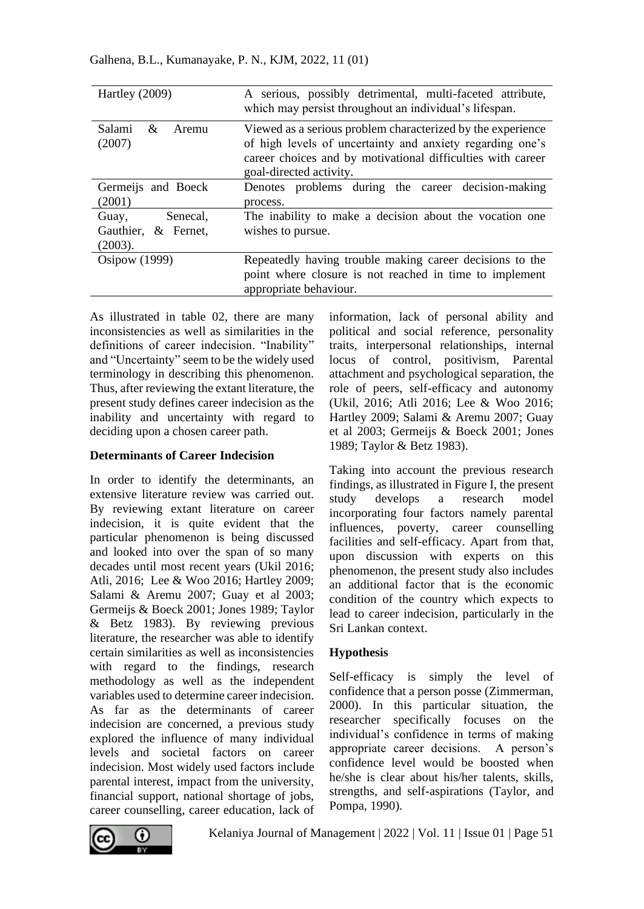| Hartley (2009)                                         | A serious, possibly detrimental, multi-faceted attribute,<br>which may persist throughout an individual's lifespan.                                                                                                |  |  |  |
|--------------------------------------------------------|--------------------------------------------------------------------------------------------------------------------------------------------------------------------------------------------------------------------|--|--|--|
| Salami<br>&<br>Aremu<br>(2007)                         | Viewed as a serious problem characterized by the experience<br>of high levels of uncertainty and anxiety regarding one's<br>career choices and by motivational difficulties with career<br>goal-directed activity. |  |  |  |
| Germeijs and Boeck<br>(2001)                           | Denotes problems during the career decision-making<br>process.                                                                                                                                                     |  |  |  |
| Senecal,<br>Guay,<br>Gauthier, & Fernet,<br>$(2003)$ . | The inability to make a decision about the vocation one<br>wishes to pursue.                                                                                                                                       |  |  |  |
| Osipow (1999)                                          | Repeatedly having trouble making career decisions to the<br>point where closure is not reached in time to implement<br>appropriate behaviour.                                                                      |  |  |  |

As illustrated in table 02, there are many inconsistencies as well as similarities in the definitions of career indecision. "Inability" and "Uncertainty" seem to be the widely used terminology in describing this phenomenon. Thus, after reviewing the extant literature, the present study defines career indecision as the inability and uncertainty with regard to deciding upon a chosen career path.

#### **Determinants of Career Indecision**

In order to identify the determinants, an extensive literature review was carried out. By reviewing extant literature on career indecision, it is quite evident that the particular phenomenon is being discussed and looked into over the span of so many decades until most recent years (Ukil 2016; Atli, 2016; Lee & Woo 2016; Hartley 2009; Salami & Aremu 2007; Guay et al 2003; Germeijs & Boeck 2001; Jones 1989; Taylor & Betz 1983). By reviewing previous literature, the researcher was able to identify certain similarities as well as inconsistencies with regard to the findings, research methodology as well as the independent variables used to determine career indecision. As far as the determinants of career indecision are concerned, a previous study explored the influence of many individual levels and societal factors on career indecision. Most widely used factors include parental interest, impact from the university, financial support, national shortage of jobs, career counselling, career education, lack of information, lack of personal ability and political and social reference, personality traits, interpersonal relationships, internal locus of control, positivism, Parental attachment and psychological separation, the role of peers, self-efficacy and autonomy (Ukil, 2016; Atli 2016; Lee & Woo 2016; Hartley 2009; Salami & Aremu 2007; Guay et al 2003; Germeijs & Boeck 2001; Jones 1989; Taylor & Betz 1983).

Taking into account the previous research findings, as illustrated in Figure I, the present study develops a research model incorporating four factors namely parental influences, poverty, career counselling facilities and self-efficacy. Apart from that, upon discussion with experts on this phenomenon, the present study also includes an additional factor that is the economic condition of the country which expects to lead to career indecision, particularly in the Sri Lankan context.

#### **Hypothesis**

Self-efficacy is simply the level of confidence that a person posse (Zimmerman, 2000). In this particular situation, the researcher specifically focuses on the individual's confidence in terms of making appropriate career decisions. A person's confidence level would be boosted when he/she is clear about his/her talents, skills, strengths, and self-aspirations (Taylor, and Pompa, 1990).

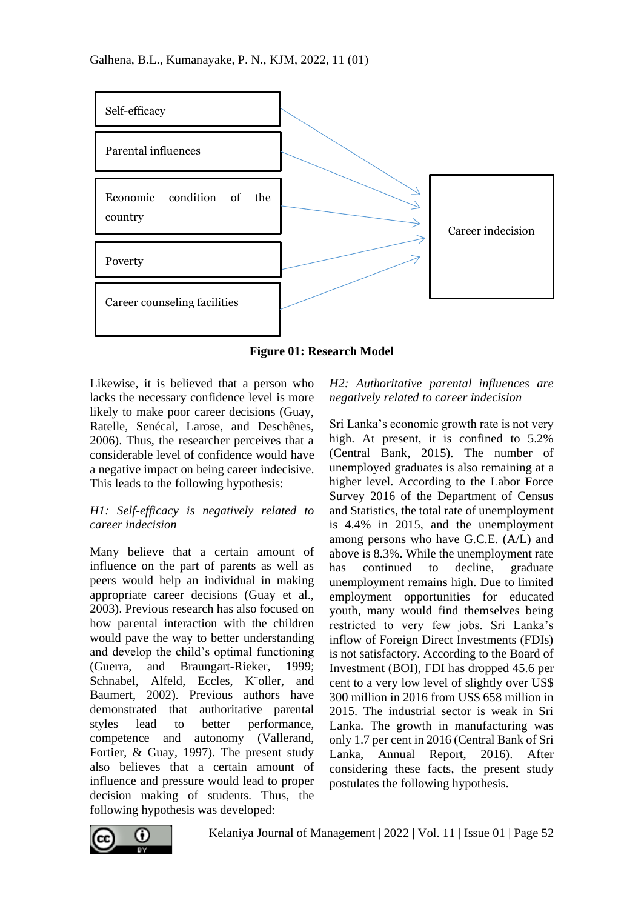

**Figure 01: Research Model**

Likewise, it is believed that a person who lacks the necessary confidence level is more likely to make poor career decisions (Guay, Ratelle, Senécal, Larose, and Deschênes, 2006). Thus, the researcher perceives that a considerable level of confidence would have a negative impact on being career indecisive. This leads to the following hypothesis:

### *H1: Self-efficacy is negatively related to career indecision*

Many believe that a certain amount of influence on the part of parents as well as peers would help an individual in making appropriate career decisions (Guay et al., 2003). Previous research has also focused on how parental interaction with the children would pave the way to better understanding and develop the child's optimal functioning (Guerra, and Braungart-Rieker, 1999; Schnabel, Alfeld, Eccles, K¨oller, and Baumert, 2002). Previous authors have demonstrated that authoritative parental styles lead to better performance, competence and autonomy (Vallerand, Fortier, & Guay, 1997). The present study also believes that a certain amount of influence and pressure would lead to proper decision making of students. Thus, the following hypothesis was developed:

### *H2: Authoritative parental influences are negatively related to career indecision*

Sri Lanka's economic growth rate is not very high. At present, it is confined to 5.2% (Central Bank, 2015). The number of unemployed graduates is also remaining at a higher level. According to the Labor Force Survey 2016 of the Department of Census and Statistics, the total rate of unemployment is 4.4% in 2015, and the unemployment among persons who have G.C.E. (A/L) and above is 8.3%. While the unemployment rate has continued to decline, graduate unemployment remains high. Due to limited employment opportunities for educated youth, many would find themselves being restricted to very few jobs. Sri Lanka's inflow of Foreign Direct Investments (FDIs) is not satisfactory. According to the Board of Investment (BOI), FDI has dropped 45.6 per cent to a very low level of slightly over US\$ 300 million in 2016 from US\$ 658 million in 2015. The industrial sector is weak in Sri Lanka. The growth in manufacturing was only 1.7 per cent in 2016 (Central Bank of Sri Lanka, Annual Report, 2016). After considering these facts, the present study postulates the following hypothesis.

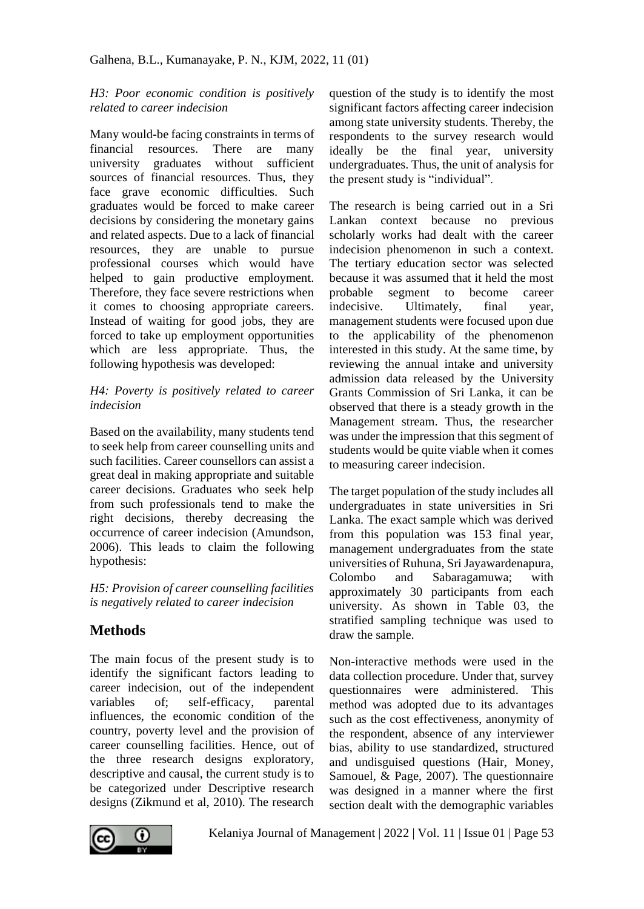### *H3: Poor economic condition is positively related to career indecision*

Many would-be facing constraints in terms of financial resources. There are many university graduates without sufficient sources of financial resources. Thus, they face grave economic difficulties. Such graduates would be forced to make career decisions by considering the monetary gains and related aspects. Due to a lack of financial resources, they are unable to pursue professional courses which would have helped to gain productive employment. Therefore, they face severe restrictions when it comes to choosing appropriate careers. Instead of waiting for good jobs, they are forced to take up employment opportunities which are less appropriate. Thus, the following hypothesis was developed:

### *H4: Poverty is positively related to career indecision*

Based on the availability, many students tend to seek help from career counselling units and such facilities. Career counsellors can assist a great deal in making appropriate and suitable career decisions. Graduates who seek help from such professionals tend to make the right decisions, thereby decreasing the occurrence of career indecision (Amundson, 2006). This leads to claim the following hypothesis:

*H5: Provision of career counselling facilities is negatively related to career indecision*

# **Methods**

The main focus of the present study is to identify the significant factors leading to career indecision, out of the independent variables of; self-efficacy, parental influences, the economic condition of the country, poverty level and the provision of career counselling facilities. Hence, out of the three research designs exploratory, descriptive and causal, the current study is to be categorized under Descriptive research designs (Zikmund et al, 2010). The research

question of the study is to identify the most significant factors affecting career indecision among state university students. Thereby, the respondents to the survey research would ideally be the final year, university undergraduates. Thus, the unit of analysis for the present study is "individual".

The research is being carried out in a Sri Lankan context because no previous scholarly works had dealt with the career indecision phenomenon in such a context. The tertiary education sector was selected because it was assumed that it held the most probable segment to become career indecisive. Ultimately, final year, management students were focused upon due to the applicability of the phenomenon interested in this study. At the same time, by reviewing the annual intake and university admission data released by the University Grants Commission of Sri Lanka, it can be observed that there is a steady growth in the Management stream. Thus, the researcher was under the impression that this segment of students would be quite viable when it comes to measuring career indecision.

The target population of the study includes all undergraduates in state universities in Sri Lanka. The exact sample which was derived from this population was 153 final year, management undergraduates from the state universities of Ruhuna, Sri Jayawardenapura, Colombo and Sabaragamuwa; with approximately 30 participants from each university. As shown in Table 03, the stratified sampling technique was used to draw the sample.

Non-interactive methods were used in the data collection procedure. Under that, survey questionnaires were administered. This method was adopted due to its advantages such as the cost effectiveness, anonymity of the respondent, absence of any interviewer bias, ability to use standardized, structured and undisguised questions (Hair, Money, Samouel, & Page, 2007). The questionnaire was designed in a manner where the first section dealt with the demographic variables

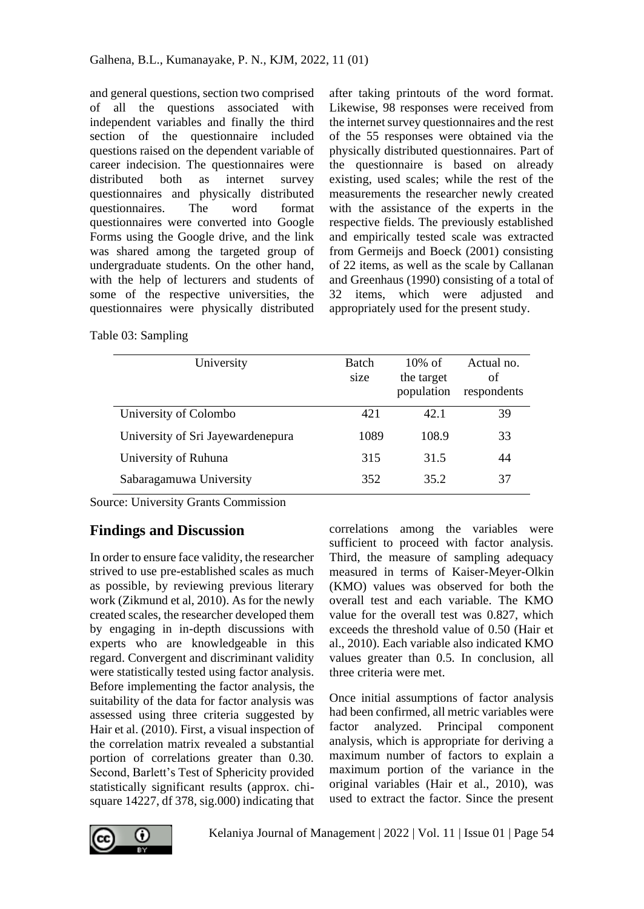and general questions, section two comprised of all the questions associated with independent variables and finally the third section of the questionnaire included questions raised on the dependent variable of career indecision. The questionnaires were distributed both as internet survey questionnaires and physically distributed questionnaires. The word format questionnaires were converted into Google Forms using the Google drive, and the link was shared among the targeted group of undergraduate students. On the other hand, with the help of lecturers and students of some of the respective universities, the questionnaires were physically distributed

after taking printouts of the word format. Likewise, 98 responses were received from the internet survey questionnaires and the rest of the 55 responses were obtained via the physically distributed questionnaires. Part of the questionnaire is based on already existing, used scales; while the rest of the measurements the researcher newly created with the assistance of the experts in the respective fields. The previously established and empirically tested scale was extracted from Germeijs and Boeck (2001) consisting of 22 items, as well as the scale by Callanan and Greenhaus (1990) consisting of a total of 32 items, which were adjusted and appropriately used for the present study.

Table 03: Sampling

| University                        | <b>Batch</b><br>size | $10\%$ of<br>the target<br>population | Actual no.<br>of<br>respondents |
|-----------------------------------|----------------------|---------------------------------------|---------------------------------|
| University of Colombo             | 42.1                 | 42.1                                  | 39                              |
| University of Sri Jayewardenepura | 1089                 | 108.9                                 | 33                              |
| University of Ruhuna              | 315                  | 31.5                                  | 44                              |
| Sabaragamuwa University           | 352                  | 35.2                                  | 37                              |

Source: University Grants Commission

# **Findings and Discussion**

In order to ensure face validity, the researcher strived to use pre-established scales as much as possible, by reviewing previous literary work (Zikmund et al, 2010). As for the newly created scales, the researcher developed them by engaging in in-depth discussions with experts who are knowledgeable in this regard. Convergent and discriminant validity were statistically tested using factor analysis. Before implementing the factor analysis, the suitability of the data for factor analysis was assessed using three criteria suggested by Hair et al. (2010). First, a visual inspection of the correlation matrix revealed a substantial portion of correlations greater than 0.30. Second, Barlett's Test of Sphericity provided statistically significant results (approx. chisquare 14227, df 378, sig.000) indicating that

correlations among the variables were sufficient to proceed with factor analysis. Third, the measure of sampling adequacy measured in terms of Kaiser-Meyer-Olkin (KMO) values was observed for both the overall test and each variable. The KMO value for the overall test was 0.827, which exceeds the threshold value of 0.50 (Hair et al., 2010). Each variable also indicated KMO values greater than 0.5. In conclusion, all three criteria were met.

Once initial assumptions of factor analysis had been confirmed, all metric variables were factor analyzed. Principal component analysis, which is appropriate for deriving a maximum number of factors to explain a maximum portion of the variance in the original variables (Hair et al., 2010), was used to extract the factor. Since the present

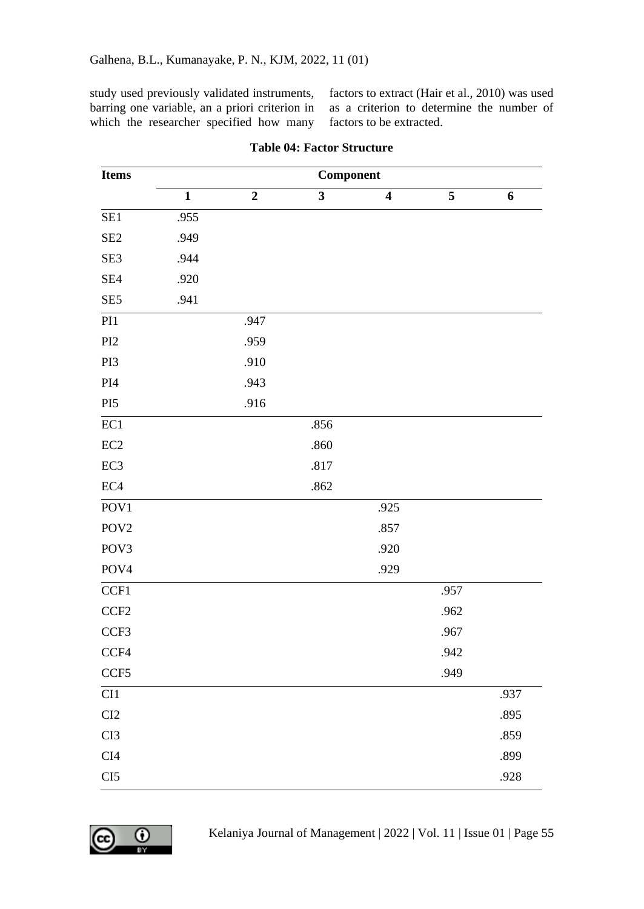study used previously validated instruments, barring one variable, an a priori criterion in which the researcher specified how many

factors to extract (Hair et al., 2010) was used as a criterion to determine the number of factors to be extracted.

| <b>Items</b>     |                         | Component      |                         |                         |                         |                |  |
|------------------|-------------------------|----------------|-------------------------|-------------------------|-------------------------|----------------|--|
|                  | $\overline{\mathbf{1}}$ | $\overline{2}$ | $\overline{\mathbf{3}}$ | $\overline{\mathbf{4}}$ | $\overline{\mathbf{5}}$ | $\overline{6}$ |  |
| SE1              | .955                    |                |                         |                         |                         |                |  |
| SE <sub>2</sub>  | .949                    |                |                         |                         |                         |                |  |
| SE3              | .944                    |                |                         |                         |                         |                |  |
| SE4              | .920                    |                |                         |                         |                         |                |  |
| SE <sub>5</sub>  | .941                    |                |                         |                         |                         |                |  |
| PI1              |                         | .947           |                         |                         |                         |                |  |
| PI2              |                         | .959           |                         |                         |                         |                |  |
| PI3              |                         | .910           |                         |                         |                         |                |  |
| $\rm{PI}4$       |                         | .943           |                         |                         |                         |                |  |
| PI <sub>5</sub>  |                         | .916           |                         |                         |                         |                |  |
| EC1              |                         |                | .856                    |                         |                         |                |  |
| $\rm EC2$        |                         |                | .860                    |                         |                         |                |  |
| EC <sub>3</sub>  |                         |                | .817                    |                         |                         |                |  |
| EC4              |                         |                | .862                    |                         |                         |                |  |
| POV1             |                         |                |                         | .925                    |                         |                |  |
| POV <sub>2</sub> |                         |                |                         | .857                    |                         |                |  |
| POV3             |                         |                |                         | .920                    |                         |                |  |
| POV <sub>4</sub> |                         |                |                         | .929                    |                         |                |  |
| CCF1             |                         |                |                         |                         | .957                    |                |  |
| CCF <sub>2</sub> |                         |                |                         |                         | .962                    |                |  |
| CCF3             |                         |                |                         |                         | .967                    |                |  |
| CCF4             |                         |                |                         |                         | .942                    |                |  |
| CCF5             |                         |                |                         |                         | .949                    |                |  |
| CI1              |                         |                |                         |                         |                         | .937           |  |
| CI2              |                         |                |                         |                         |                         | .895           |  |
| CI3              |                         |                |                         |                         |                         | .859           |  |
| CI4              |                         |                |                         |                         |                         | .899           |  |
| CI5              |                         |                |                         |                         |                         | .928           |  |

#### **Table 04: Factor Structure**

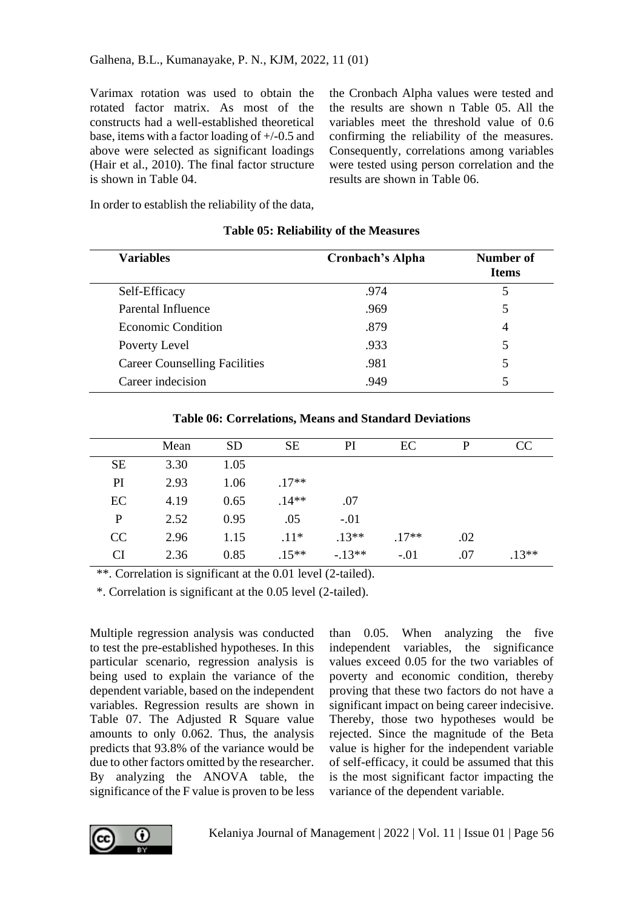Varimax rotation was used to obtain the rotated factor matrix. As most of the constructs had a well-established theoretical base, items with a factor loading of +/-0.5 and above were selected as significant loadings (Hair et al., 2010). The final factor structure is shown in Table 04.

the Cronbach Alpha values were tested and the results are shown n Table 05. All the variables meet the threshold value of 0.6 confirming the reliability of the measures. Consequently, correlations among variables were tested using person correlation and the results are shown in Table 06.

In order to establish the reliability of the data,

| <b>Variables</b>              | Cronbach's Alpha | Number of<br><b>Items</b> |
|-------------------------------|------------------|---------------------------|
| Self-Efficacy                 | .974             | 5                         |
| Parental Influence            | .969             | 5                         |
| Economic Condition            | .879             | 4                         |
| Poverty Level                 | .933             | 5                         |
| Career Counselling Facilities | .981             | 5                         |
| Career indecision             | .949             | 5                         |

#### **Table 05: Reliability of the Measures**

|           | Mean | <b>SD</b> | <b>SE</b> | PI       | EC      | P   | <sub>CC</sub> |
|-----------|------|-----------|-----------|----------|---------|-----|---------------|
| <b>SE</b> | 3.30 | 1.05      |           |          |         |     |               |
| PI        | 2.93 | 1.06      | $.17**$   |          |         |     |               |
| EC        | 4.19 | 0.65      | $.14**$   | .07      |         |     |               |
| P         | 2.52 | 0.95      | .05       | $-.01$   |         |     |               |
| CC        | 2.96 | 1.15      | $.11*$    | $.13**$  | $.17**$ | .02 |               |
| CI        | 2.36 | 0.85      | $.15**$   | $-.13**$ | $-.01$  | .07 | $.13**$       |

**Table 06: Correlations, Means and Standard Deviations**

\*\*. Correlation is significant at the 0.01 level (2-tailed).

\*. Correlation is significant at the 0.05 level (2-tailed).

Multiple regression analysis was conducted to test the pre-established hypotheses. In this particular scenario, regression analysis is being used to explain the variance of the dependent variable, based on the independent variables. Regression results are shown in Table 07. The Adjusted R Square value amounts to only 0.062. Thus, the analysis predicts that 93.8% of the variance would be due to other factors omitted by the researcher. By analyzing the ANOVA table, the significance of the F value is proven to be less

than 0.05. When analyzing the five independent variables, the significance values exceed 0.05 for the two variables of poverty and economic condition, thereby proving that these two factors do not have a significant impact on being career indecisive. Thereby, those two hypotheses would be rejected. Since the magnitude of the Beta value is higher for the independent variable of self-efficacy, it could be assumed that this is the most significant factor impacting the variance of the dependent variable.

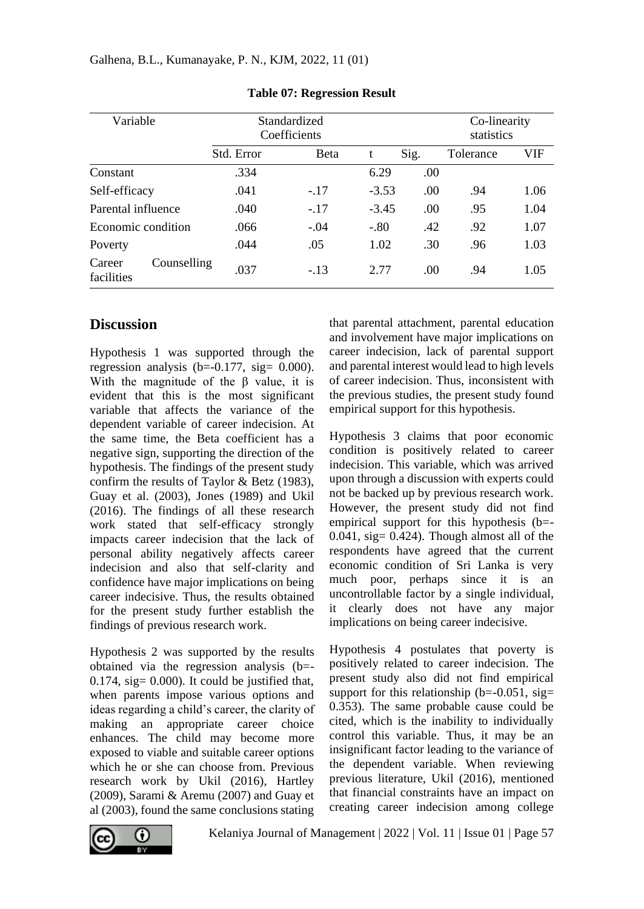| Variable                            | Standardized<br>Coefficients |        |         | Co-linearity<br>statistics |           |      |
|-------------------------------------|------------------------------|--------|---------|----------------------------|-----------|------|
|                                     | Std. Error                   | Beta   | t       | Sig.                       | Tolerance | VIF  |
| Constant                            | .334                         |        | 6.29    | .00                        |           |      |
| Self-efficacy                       | .041                         | $-.17$ | $-3.53$ | .00.                       | .94       | 1.06 |
| Parental influence                  | .040                         | $-.17$ | $-3.45$ | .00.                       | .95       | 1.04 |
| Economic condition                  | .066                         | $-.04$ | $-.80$  | .42                        | .92       | 1.07 |
| Poverty                             | .044                         | .05    | 1.02    | .30                        | .96       | 1.03 |
| Counselling<br>Career<br>facilities | .037                         | $-.13$ | 2.77    | .00.                       | .94       | 1.05 |

**Table 07: Regression Result**

## **Discussion**

Hypothesis 1 was supported through the regression analysis  $(b=-0.177, \text{sig}= 0.000)$ . With the magnitude of the β value, it is evident that this is the most significant variable that affects the variance of the dependent variable of career indecision. At the same time, the Beta coefficient has a negative sign, supporting the direction of the hypothesis. The findings of the present study confirm the results of Taylor & Betz (1983), Guay et al. (2003), Jones (1989) and Ukil (2016). The findings of all these research work stated that self-efficacy strongly impacts career indecision that the lack of personal ability negatively affects career indecision and also that self-clarity and confidence have major implications on being career indecisive. Thus, the results obtained for the present study further establish the findings of previous research work.

Hypothesis 2 was supported by the results obtained via the regression analysis (b=-  $0.174$ , sig=  $0.000$ ). It could be justified that, when parents impose various options and ideas regarding a child's career, the clarity of making an appropriate career choice enhances. The child may become more exposed to viable and suitable career options which he or she can choose from. Previous research work by Ukil (2016), Hartley (2009), Sarami & Aremu (2007) and Guay et al (2003), found the same conclusions stating

that parental attachment, parental education and involvement have major implications on career indecision, lack of parental support and parental interest would lead to high levels of career indecision. Thus, inconsistent with the previous studies, the present study found empirical support for this hypothesis.

Hypothesis 3 claims that poor economic condition is positively related to career indecision. This variable, which was arrived upon through a discussion with experts could not be backed up by previous research work. However, the present study did not find empirical support for this hypothesis (b=-  $0.041$ , sig=  $0.424$ ). Though almost all of the respondents have agreed that the current economic condition of Sri Lanka is very much poor, perhaps since it is an uncontrollable factor by a single individual, it clearly does not have any major implications on being career indecisive.

Hypothesis 4 postulates that poverty is positively related to career indecision. The present study also did not find empirical support for this relationship ( $b=-0.051$ , sig= 0.353). The same probable cause could be cited, which is the inability to individually control this variable. Thus, it may be an insignificant factor leading to the variance of the dependent variable. When reviewing previous literature, Ukil (2016), mentioned that financial constraints have an impact on creating career indecision among college

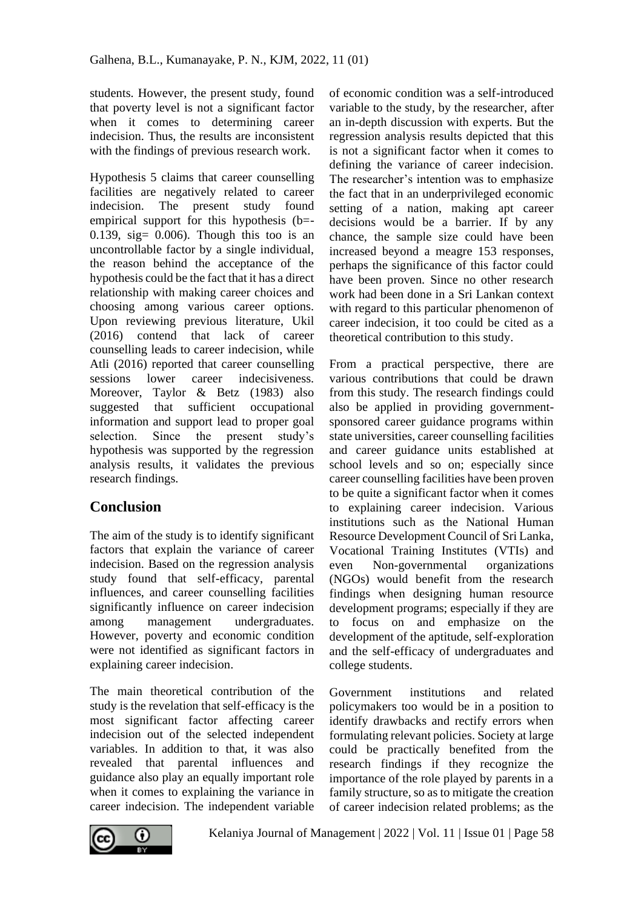students. However, the present study, found that poverty level is not a significant factor when it comes to determining career indecision. Thus, the results are inconsistent with the findings of previous research work.

Hypothesis 5 claims that career counselling facilities are negatively related to career indecision. The present study found empirical support for this hypothesis (b=- 0.139, sig=  $0.006$ ). Though this too is an uncontrollable factor by a single individual, the reason behind the acceptance of the hypothesis could be the fact that it has a direct relationship with making career choices and choosing among various career options. Upon reviewing previous literature, Ukil (2016) contend that lack of career counselling leads to career indecision, while Atli (2016) reported that career counselling sessions lower career indecisiveness. Moreover, Taylor & Betz (1983) also suggested that sufficient occupational information and support lead to proper goal<br>selection. Since the present study's selection. Since the present study's hypothesis was supported by the regression analysis results, it validates the previous research findings.

# **Conclusion**

The aim of the study is to identify significant factors that explain the variance of career indecision. Based on the regression analysis study found that self-efficacy, parental influences, and career counselling facilities significantly influence on career indecision among management undergraduates. However, poverty and economic condition were not identified as significant factors in explaining career indecision.

The main theoretical contribution of the study is the revelation that self-efficacy is the most significant factor affecting career indecision out of the selected independent variables. In addition to that, it was also revealed that parental influences and guidance also play an equally important role when it comes to explaining the variance in career indecision. The independent variable

of economic condition was a self-introduced variable to the study, by the researcher, after an in-depth discussion with experts. But the regression analysis results depicted that this is not a significant factor when it comes to defining the variance of career indecision. The researcher's intention was to emphasize the fact that in an underprivileged economic setting of a nation, making apt career decisions would be a barrier. If by any chance, the sample size could have been increased beyond a meagre 153 responses, perhaps the significance of this factor could have been proven. Since no other research work had been done in a Sri Lankan context with regard to this particular phenomenon of career indecision, it too could be cited as a theoretical contribution to this study.

From a practical perspective, there are various contributions that could be drawn from this study. The research findings could also be applied in providing governmentsponsored career guidance programs within state universities, career counselling facilities and career guidance units established at school levels and so on; especially since career counselling facilities have been proven to be quite a significant factor when it comes to explaining career indecision. Various institutions such as the National Human Resource Development Council of Sri Lanka, Vocational Training Institutes (VTIs) and even Non-governmental organizations (NGOs) would benefit from the research findings when designing human resource development programs; especially if they are to focus on and emphasize on the development of the aptitude, self-exploration and the self-efficacy of undergraduates and college students.

Government institutions and related policymakers too would be in a position to identify drawbacks and rectify errors when formulating relevant policies. Society at large could be practically benefited from the research findings if they recognize the importance of the role played by parents in a family structure, so as to mitigate the creation of career indecision related problems; as the

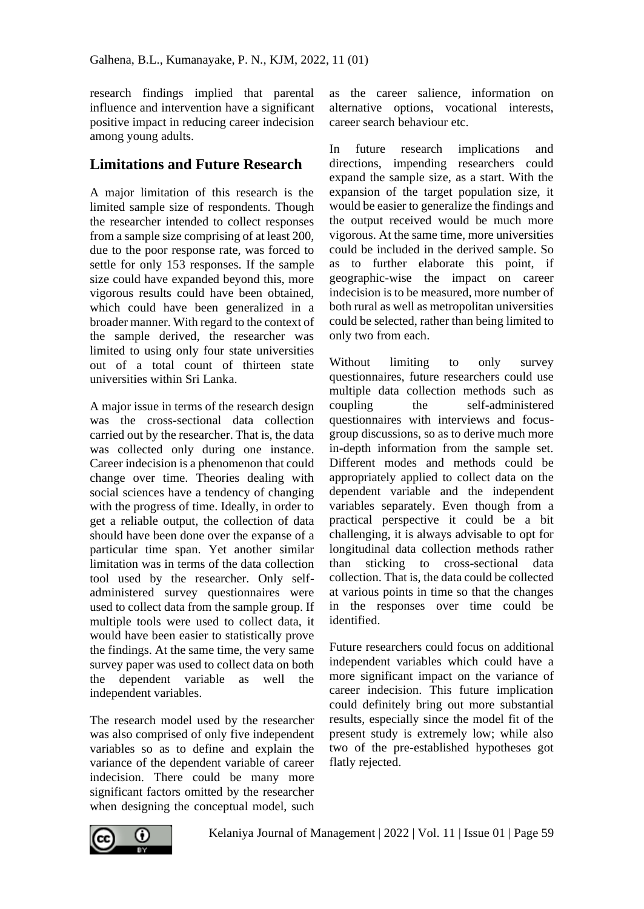research findings implied that parental influence and intervention have a significant positive impact in reducing career indecision among young adults.

### **Limitations and Future Research**

A major limitation of this research is the limited sample size of respondents. Though the researcher intended to collect responses from a sample size comprising of at least 200, due to the poor response rate, was forced to settle for only 153 responses. If the sample size could have expanded beyond this, more vigorous results could have been obtained, which could have been generalized in a broader manner. With regard to the context of the sample derived, the researcher was limited to using only four state universities out of a total count of thirteen state universities within Sri Lanka.

A major issue in terms of the research design was the cross-sectional data collection carried out by the researcher. That is, the data was collected only during one instance. Career indecision is a phenomenon that could change over time. Theories dealing with social sciences have a tendency of changing with the progress of time. Ideally, in order to get a reliable output, the collection of data should have been done over the expanse of a particular time span. Yet another similar limitation was in terms of the data collection tool used by the researcher. Only selfadministered survey questionnaires were used to collect data from the sample group. If multiple tools were used to collect data, it would have been easier to statistically prove the findings. At the same time, the very same survey paper was used to collect data on both the dependent variable as well the independent variables.

The research model used by the researcher was also comprised of only five independent variables so as to define and explain the variance of the dependent variable of career indecision. There could be many more significant factors omitted by the researcher when designing the conceptual model, such as the career salience, information on alternative options, vocational interests, career search behaviour etc.

In future research implications and directions, impending researchers could expand the sample size, as a start. With the expansion of the target population size, it would be easier to generalize the findings and the output received would be much more vigorous. At the same time, more universities could be included in the derived sample. So as to further elaborate this point, if geographic-wise the impact on career indecision is to be measured, more number of both rural as well as metropolitan universities could be selected, rather than being limited to only two from each.

Without limiting to only survey questionnaires, future researchers could use multiple data collection methods such as coupling the self-administered questionnaires with interviews and focusgroup discussions, so as to derive much more in-depth information from the sample set. Different modes and methods could be appropriately applied to collect data on the dependent variable and the independent variables separately. Even though from a practical perspective it could be a bit challenging, it is always advisable to opt for longitudinal data collection methods rather than sticking to cross-sectional data collection. That is, the data could be collected at various points in time so that the changes in the responses over time could be identified.

Future researchers could focus on additional independent variables which could have a more significant impact on the variance of career indecision. This future implication could definitely bring out more substantial results, especially since the model fit of the present study is extremely low; while also two of the pre-established hypotheses got flatly rejected.

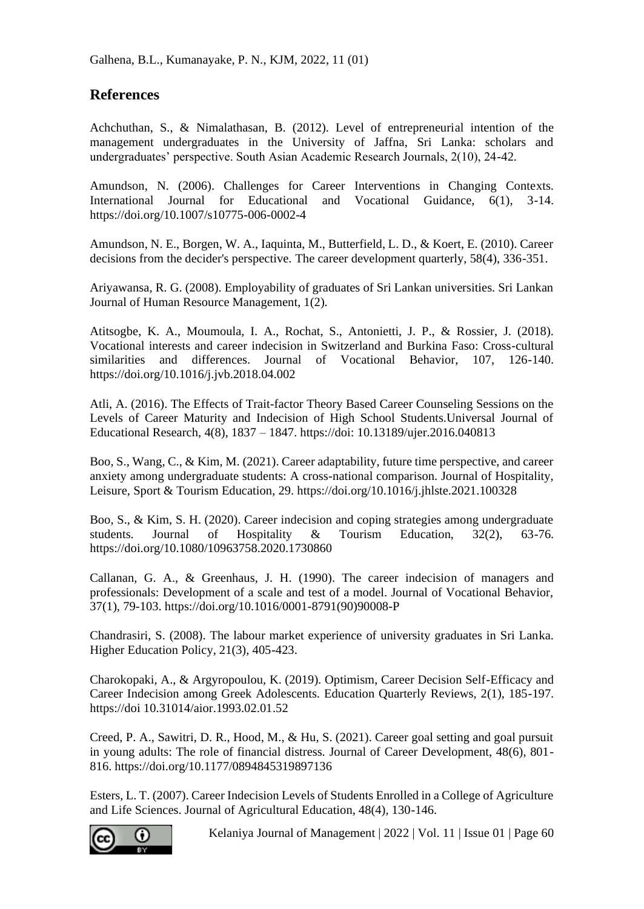## **References**

Achchuthan, S., & Nimalathasan, B. (2012). Level of entrepreneurial intention of the management undergraduates in the University of Jaffna, Sri Lanka: scholars and undergraduates' perspective. South Asian Academic Research Journals, 2(10), 24-42.

Amundson, N. (2006). Challenges for Career Interventions in Changing Contexts. International Journal for Educational and Vocational Guidance, 6(1), 3-14. https://doi.org/10.1007/s10775-006-0002-4

Amundson, N. E., Borgen, W. A., Iaquinta, M., Butterfield, L. D., & Koert, E. (2010). Career decisions from the decider's perspective. The career development quarterly, 58(4), 336-351.

Ariyawansa, R. G. (2008). Employability of graduates of Sri Lankan universities. Sri Lankan Journal of Human Resource Management, 1(2).

Atitsogbe, K. A., Moumoula, I. A., Rochat, S., Antonietti, J. P., & Rossier, J. (2018). Vocational interests and career indecision in Switzerland and Burkina Faso: Cross-cultural similarities and differences. Journal of Vocational Behavior, 107, 126-140. https://doi.org/10.1016/j.jvb.2018.04.002

Atli, A. (2016). The Effects of Trait-factor Theory Based Career Counseling Sessions on the Levels of Career Maturity and Indecision of High School Students.Universal Journal of Educational Research, 4(8), 1837 – 1847. https://doi: 10.13189/ujer.2016.040813

Boo, S., Wang, C., & Kim, M. (2021). Career adaptability, future time perspective, and career anxiety among undergraduate students: A cross-national comparison. Journal of Hospitality, Leisure, Sport & Tourism Education, 29. https://doi.org/10.1016/j.jhlste.2021.100328

Boo, S., & Kim, S. H. (2020). Career indecision and coping strategies among undergraduate students. Journal of Hospitality & Tourism Education, 32(2), 63-76. https://doi.org/10.1080/10963758.2020.1730860

Callanan, G. A., & Greenhaus, J. H. (1990). The career indecision of managers and professionals: Development of a scale and test of a model. Journal of Vocational Behavior, 37(1), 79-103. https://doi.org/10.1016/0001-8791(90)90008-P

Chandrasiri, S. (2008). The labour market experience of university graduates in Sri Lanka. Higher Education Policy, 21(3), 405-423.

Charokopaki, A., & Argyropoulou, K. (2019). Optimism, Career Decision Self-Efficacy and Career Indecision among Greek Adolescents. Education Quarterly Reviews, 2(1), 185-197. https://doi 10.31014/aior.1993.02.01.52

Creed, P. A., Sawitri, D. R., Hood, M., & Hu, S. (2021). Career goal setting and goal pursuit in young adults: The role of financial distress. Journal of Career Development, 48(6), 801- 816. https://doi.org/10.1177/0894845319897136

Esters, L. T. (2007). Career Indecision Levels of Students Enrolled in a College of Agriculture and Life Sciences. Journal of Agricultural Education, 48(4), 130-146.



Kelaniya Journal of Management | 2022 | Vol. 11 | Issue 01 | Page 60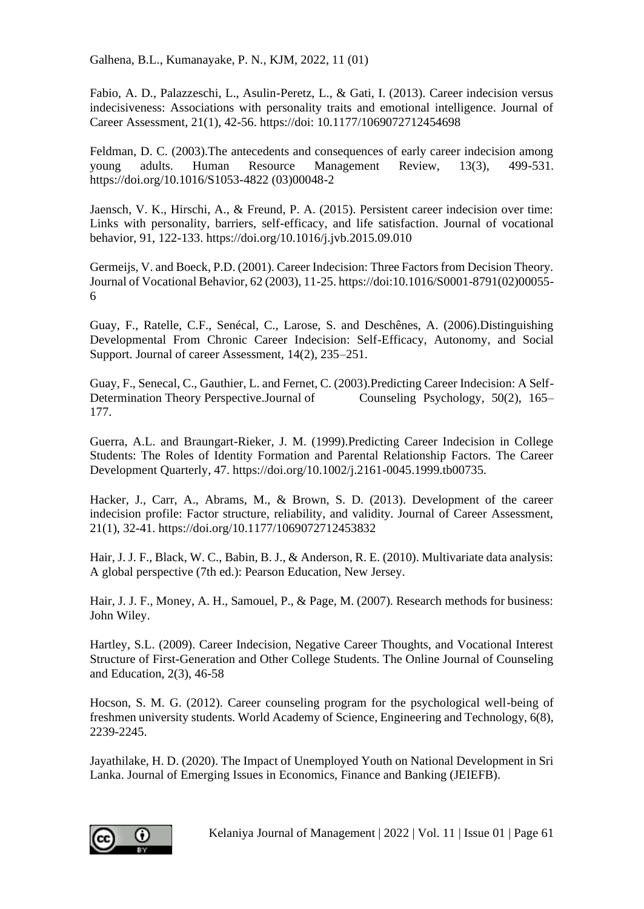Fabio, A. D., Palazzeschi, L., Asulin-Peretz, L., & Gati, I. (2013). Career indecision versus indecisiveness: Associations with personality traits and emotional intelligence. Journal of Career Assessment, 21(1), 42-56. https://doi: 10.1177/1069072712454698

Feldman, D. C. (2003).The antecedents and consequences of early career indecision among young adults. Human Resource Management Review, 13(3), 499-531. https://doi.org/10.1016/S1053-4822 (03)00048-2

Jaensch, V. K., Hirschi, A., & Freund, P. A. (2015). Persistent career indecision over time: Links with personality, barriers, self-efficacy, and life satisfaction. Journal of vocational behavior, 91, 122-133. https://doi.org/10.1016/j.jvb.2015.09.010

Germeijs, V. and Boeck, P.D. (2001). Career Indecision: Three Factors from Decision Theory. Journal of Vocational Behavior, 62 (2003), 11-25. https://doi:10.1016/S0001-8791(02)00055- 6

Guay, F., Ratelle, C.F., Senécal, C., Larose, S. and Deschênes, A. (2006).Distinguishing Developmental From Chronic Career Indecision: Self-Efficacy, Autonomy, and Social Support. Journal of career Assessment, 14(2), 235–251.

Guay, F., Senecal, C., Gauthier, L. and Fernet, C. (2003).Predicting Career Indecision: A Self-Determination Theory Perspective.Journal of Counseling Psychology, 50(2), 165– 177.

Guerra, A.L. and Braungart-Rieker, J. M. (1999).Predicting Career Indecision in College Students: The Roles of Identity Formation and Parental Relationship Factors. The Career Development Quarterly, 47. https://doi.org/10.1002/j.2161-0045.1999.tb00735.

Hacker, J., Carr, A., Abrams, M., & Brown, S. D. (2013). Development of the career indecision profile: Factor structure, reliability, and validity. Journal of Career Assessment, 21(1), 32-41. https://doi.org/10.1177/1069072712453832

Hair, J. J. F., Black, W. C., Babin, B. J., & Anderson, R. E. (2010). Multivariate data analysis: A global perspective (7th ed.): Pearson Education, New Jersey.

Hair, J. J. F., Money, A. H., Samouel, P., & Page, M. (2007). Research methods for business: John Wiley.

Hartley, S.L. (2009). Career Indecision, Negative Career Thoughts, and Vocational Interest Structure of First-Generation and Other College Students. The Online Journal of Counseling and Education, 2(3), 46-58

Hocson, S. M. G. (2012). Career counseling program for the psychological well-being of freshmen university students. World Academy of Science, Engineering and Technology, 6(8), 2239-2245.

Jayathilake, H. D. (2020). The Impact of Unemployed Youth on National Development in Sri Lanka. Journal of Emerging Issues in Economics, Finance and Banking (JEIEFB).

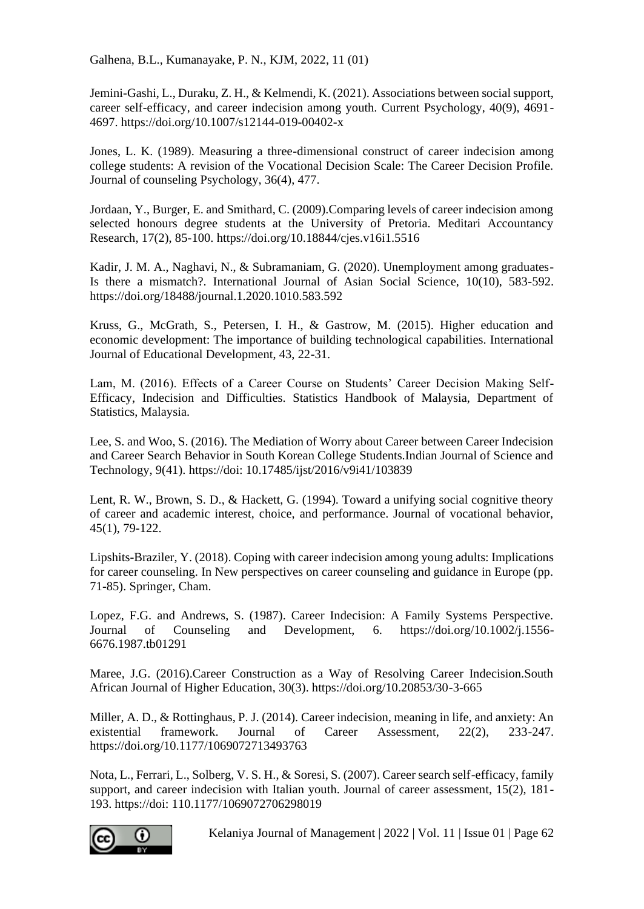Jemini-Gashi, L., Duraku, Z. H., & Kelmendi, K. (2021). Associations between social support, career self-efficacy, and career indecision among youth. Current Psychology, 40(9), 4691- 4697. https://doi.org/10.1007/s12144-019-00402-x

Jones, L. K. (1989). Measuring a three-dimensional construct of career indecision among college students: A revision of the Vocational Decision Scale: The Career Decision Profile. Journal of counseling Psychology, 36(4), 477.

Jordaan, Y., Burger, E. and Smithard, C. (2009).Comparing levels of career indecision among selected honours degree students at the University of Pretoria. Meditari Accountancy Research, 17(2), 85-100. https://doi.org/10.18844/cjes.v16i1.5516

Kadir, J. M. A., Naghavi, N., & Subramaniam, G. (2020). Unemployment among graduates-Is there a mismatch?. International Journal of Asian Social Science, 10(10), 583-592. https://doi.org/18488/journal.1.2020.1010.583.592

Kruss, G., McGrath, S., Petersen, I. H., & Gastrow, M. (2015). Higher education and economic development: The importance of building technological capabilities. International Journal of Educational Development, 43, 22-31.

Lam, M. (2016). Effects of a Career Course on Students' Career Decision Making Self-Efficacy, Indecision and Difficulties. Statistics Handbook of Malaysia, Department of Statistics, Malaysia.

Lee, S. and Woo, S. (2016). The Mediation of Worry about Career between Career Indecision and Career Search Behavior in South Korean College Students.Indian Journal of Science and Technology, 9(41). https://doi: 10.17485/ijst/2016/v9i41/103839

Lent, R. W., Brown, S. D., & Hackett, G. (1994). Toward a unifying social cognitive theory of career and academic interest, choice, and performance. Journal of vocational behavior, 45(1), 79-122.

Lipshits-Braziler, Y. (2018). Coping with career indecision among young adults: Implications for career counseling. In New perspectives on career counseling and guidance in Europe (pp. 71-85). Springer, Cham.

Lopez, F.G. and Andrews, S. (1987). Career Indecision: A Family Systems Perspective. Journal of Counseling and Development, 6. https://doi.org/10.1002/j.1556- 6676.1987.tb01291

Maree, J.G. (2016).Career Construction as a Way of Resolving Career Indecision.South African Journal of Higher Education, 30(3). https://doi.org/10.20853/30-3-665

Miller, A. D., & Rottinghaus, P. J. (2014). Career indecision, meaning in life, and anxiety: An existential framework. Journal of Career Assessment, 22(2), 233-247. https://doi.org/10.1177/1069072713493763

Nota, L., Ferrari, L., Solberg, V. S. H., & Soresi, S. (2007). Career search self-efficacy, family support, and career indecision with Italian youth. Journal of career assessment, 15(2), 181- 193. https://doi: 110.1177/1069072706298019



Kelaniya Journal of Management | 2022 | Vol. 11 | Issue 01 | Page 62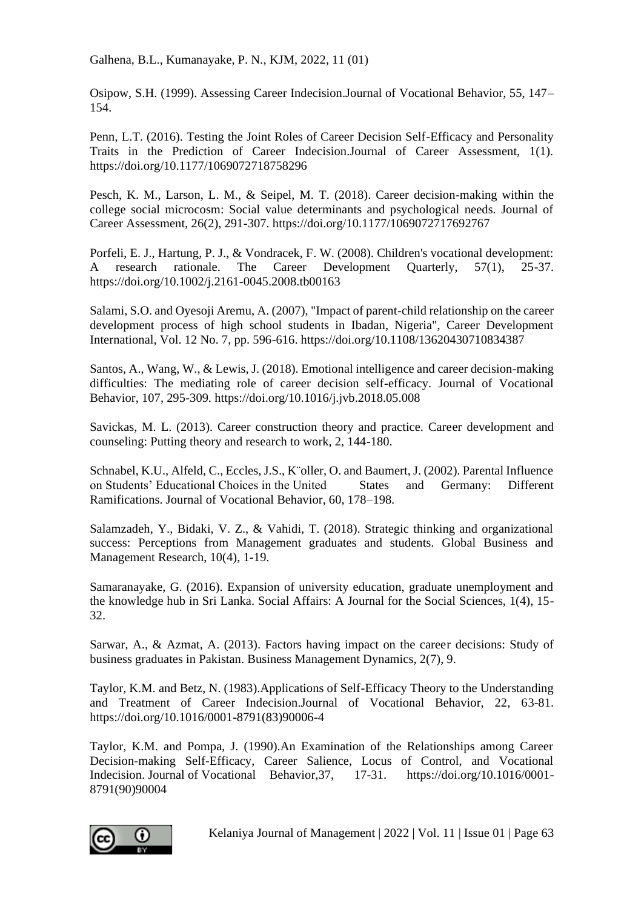Osipow, S.H. (1999). Assessing Career Indecision.Journal of Vocational Behavior, 55, 147– 154.

Penn, L.T. (2016). Testing the Joint Roles of Career Decision Self-Efficacy and Personality Traits in the Prediction of Career Indecision.Journal of Career Assessment, 1(1). https://doi.org/10.1177/1069072718758296

Pesch, K. M., Larson, L. M., & Seipel, M. T. (2018). Career decision-making within the college social microcosm: Social value determinants and psychological needs. Journal of Career Assessment, 26(2), 291-307. https://doi.org/10.1177/1069072717692767

Porfeli, E. J., Hartung, P. J., & Vondracek, F. W. (2008). Children's vocational development: A research rationale. The Career Development Quarterly, 57(1), 25-37. https://doi.org/10.1002/j.2161-0045.2008.tb00163

Salami, S.O. and Oyesoji Aremu, A. (2007), "Impact of parent‐child relationship on the career development process of high school students in Ibadan, Nigeria", Career Development International, Vol. 12 No. 7, pp. 596-616. https://doi.org/10.1108/13620430710834387

Santos, A., Wang, W., & Lewis, J. (2018). Emotional intelligence and career decision-making difficulties: The mediating role of career decision self-efficacy. Journal of Vocational Behavior, 107, 295-309. https://doi.org/10.1016/j.jvb.2018.05.008

Savickas, M. L. (2013). Career construction theory and practice. Career development and counseling: Putting theory and research to work, 2, 144-180.

Schnabel, K.U., Alfeld, C., Eccles, J.S., K¨oller, O. and Baumert, J. (2002). Parental Influence on Students' Educational Choices in the United States and Germany: Different Ramifications. Journal of Vocational Behavior, 60, 178–198.

Salamzadeh, Y., Bidaki, V. Z., & Vahidi, T. (2018). Strategic thinking and organizational success: Perceptions from Management graduates and students. Global Business and Management Research, 10(4), 1-19.

Samaranayake, G. (2016). Expansion of university education, graduate unemployment and the knowledge hub in Sri Lanka. Social Affairs: A Journal for the Social Sciences, 1(4), 15- 32.

Sarwar, A., & Azmat, A. (2013). Factors having impact on the career decisions: Study of business graduates in Pakistan. Business Management Dynamics, 2(7), 9.

Taylor, K.M. and Betz, N. (1983).Applications of Self-Efficacy Theory to the Understanding and Treatment of Career Indecision.Journal of Vocational Behavior, 22, 63-81. https://doi.org/10.1016/0001-8791(83)90006-4

Taylor, K.M. and Pompa, J. (1990).An Examination of the Relationships among Career Decision-making Self-Efficacy, Career Salience, Locus of Control, and Vocational Indecision. Journal of Vocational Behavior,37, 17-31. https://doi.org/10.1016/0001- 8791(90)90004